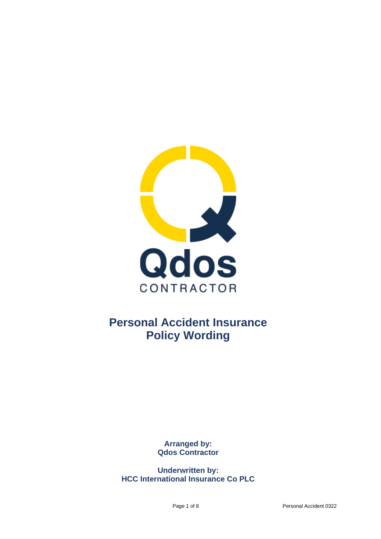

# **Personal Accident Insurance Policy Wording**

**Arranged by: Qdos Contractor**

**Underwritten by: HCC International Insurance Co PLC**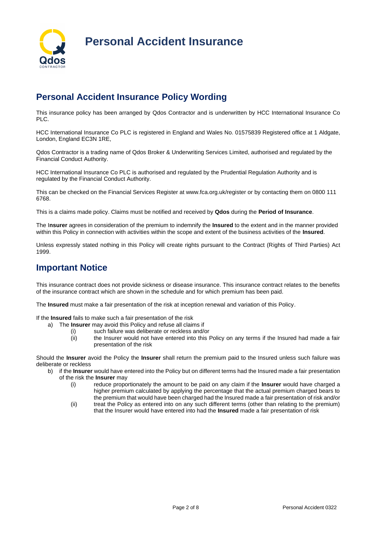

## **Personal Accident Insurance Policy Wording**

This insurance policy has been arranged by Qdos Contractor and is underwritten by HCC International Insurance Co PLC.

HCC International Insurance Co PLC is registered in England and Wales No. 01575839 Registered office at 1 Aldgate, London, England EC3N 1RE,

Qdos Contractor is a trading name of Qdos Broker & Underwriting Services Limited, authorised and regulated by the Financial Conduct Authority.

HCC International Insurance Co PLC is authorised and regulated by the Prudential Regulation Authority and is regulated by the Financial Conduct Authority.

This can be checked on the Financial Services Register at www.fca.org.uk/register or by contacting them on 0800 111 6768.

This is a claims made policy. Claims must be notified and received by **Qdos** during the **Period of Insurance**.

The I**nsurer** agrees in consideration of the premium to indemnify the **Insured** to the extent and in the manner provided within this Policy in connection with activities within the scope and extent of the business activities of the **Insured**.

Unless expressly stated nothing in this Policy will create rights pursuant to the Contract (Rights of Third Parties) Act 1999.

### **Important Notice**

This insurance contract does not provide sickness or disease insurance. This insurance contract relates to the benefits of the insurance contract which are shown in the schedule and for which premium has been paid.

The **Insured** must make a fair presentation of the risk at inception renewal and variation of this Policy.

If the **Insured** fails to make such a fair presentation of the risk

- a) The **Insurer** may avoid this Policy and refuse all claims if
	- (i) such failure was deliberate or reckless and/or
		- (ii) the Insurer would not have entered into this Policy on any terms if the Insured had made a fair presentation of the risk

Should the **Insurer** avoid the Policy the **Insurer** shall return the premium paid to the Insured unless such failure was deliberate or reckless

- b) if the **Insurer** would have entered into the Policy but on different terms had the Insured made a fair presentation of the risk the **Insurer** may
	- (i) reduce proportionately the amount to be paid on any claim if the **Insurer** would have charged a higher premium calculated by applying the percentage that the actual premium charged bears to the premium that would have been charged had the Insured made a fair presentation of risk and/or
	- (ii) treat the Policy as entered into on any such different terms (other than relating to the premium) that the Insurer would have entered into had the **Insured** made a fair presentation of risk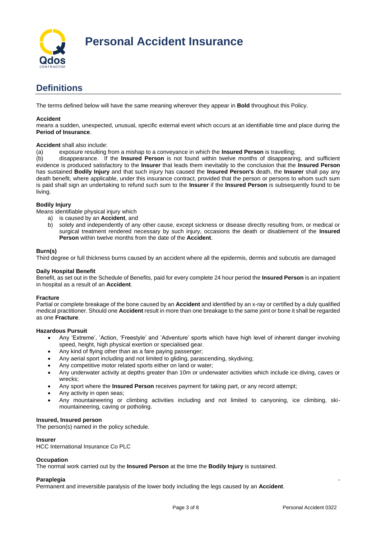

## **Definitions**

The terms defined below will have the same meaning wherever they appear in **Bold** throughout this Policy.

#### **Accident**

means a sudden, unexpected, unusual, specific external event which occurs at an identifiable time and place during the **Period of Insurance**.

#### **Accident** shall also include:

(a) exposure resulting from a mishap to a conveyance in which the **Insured Person** is travelling;

(b) disappearance. If the **Insured Person** is not found within twelve months of disappearing, and sufficient evidence is produced satisfactory to the **Insurer** that leads them inevitably to the conclusion that the **Insured Person** has sustained **Bodily Injury** and that such injury has caused the **Insured Person's** death, the **Insurer** shall pay any death benefit, where applicable, under this insurance contract, provided that the person or persons to whom such sum is paid shall sign an undertaking to refund such sum to the **Insurer** if the **Insured Person** is subsequently found to be living.

#### **Bodily Injury**

Means identifiable physical injury which

- a) is caused by an **Accident**, and
- b) solely and independently of any other cause, except sickness or disease directly resulting from, or medical or surgical treatment rendered necessary by such injury, occasions the death or disablement of the **Insured Person** within twelve months from the date of the **Accident**.

#### **Burn(s)**

Third degree or full thickness burns caused by an accident where all the epidermis, dermis and subcutis are damaged

#### **Daily Hospital Benefit**

Benefit, as set out in the Schedule of Benefits, paid for every complete 24 hour period the **Insured Person** is an inpatient in hospital as a result of an **Accident**.

#### **Fracture**

Partial or complete breakage of the bone caused by an **Accident** and identified by an x-ray or certified by a duly qualified medical practitioner. Should one **Accident** result in more than one breakage to the same joint or bone it shall be regarded as one **Fracture**.

#### **Hazardous Pursuit**

- Any 'Extreme', 'Action, 'Freestyle' and 'Adventure' sports which have high level of inherent danger involving speed, height, high physical exertion or specialised gear.
- Any kind of flying other than as a fare paying passenger;
- Any aerial sport including and not limited to gliding, parascending, skydiving;
- Any competitive motor related sports either on land or water;
- Any underwater activity at depths greater than 10m or underwater activities which include ice diving, caves or wrecks;
- Any sport where the **Insured Person** receives payment for taking part, or any record attempt;
- Any activity in open seas;
- Any mountaineering or climbing activities including and not limited to canyoning, ice climbing, skimountaineering, caving or potholing.

#### **Insured, Insured person**

The person(s) named in the policy schedule.

#### **Insurer**

HCC International Insurance Co PLC

#### **Occupation**

The normal work carried out by the **Insured Person** at the time the **Bodily Injury** is sustained.

#### **Paraplegia** -

Permanent and irreversible paralysis of the lower body including the legs caused by an **Accident**.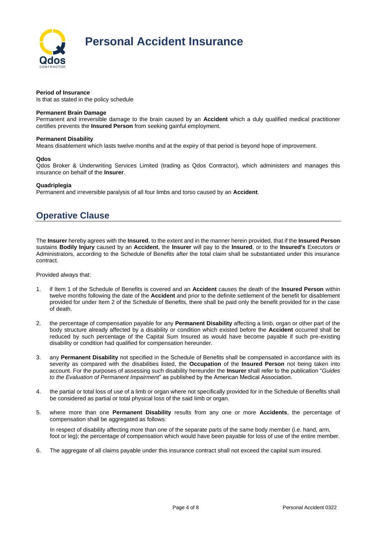

#### **Period of Insurance**

Is that as stated in the policy schedule

#### **Permanent Brain Damage**

Permanent and irreversible damage to the brain caused by an **Accident** which a duly qualified medical practitioner certifies prevents the **Insured Person** from seeking gainful employment.

#### **Permanent Disability**

Means disablement which lasts twelve months and at the expiry of that period is beyond hope of improvement.

#### **Qdos**

Qdos Broker & Underwriting Services Limited (trading as Qdos Contractor), which administers and manages this insurance on behalf of the **Insurer**.

#### **Quadriplegia**

Permanent and irreversible paralysis of all four limbs and torso caused by an **Accident**.

### **Operative Clause**

The **Insurer** hereby agrees with the **Insured**, to the extent and in the manner herein provided, that if the **Insured Person** sustains **Bodily Injury** caused by an **Accident**, the **Insurer** will pay to the **Insured**, or to the **Insured's** Executors or Administrators, according to the Schedule of Benefits after the total claim shall be substantiated under this insurance contract.

Provided always that:

- 1. if Item 1 of the Schedule of Benefits is covered and an **Accident** causes the death of the **Insured Person** within twelve months following the date of the **Accident** and prior to the definite settlement of the benefit for disablement provided for under Item 2 of the Schedule of Benefits, there shall be paid only the benefit provided for in the case of death.
- 2. the percentage of compensation payable for any **Permanent Disability** affecting a limb, organ or other part of the body structure already affected by a disability or condition which existed before the **Accident** occurred shall be reduced by such percentage of the Capital Sum Insured as would have become payable if such pre-existing disability or condition had qualified for compensation hereunder.
- 3. any **Permanent Disability** not specified in the Schedule of Benefits shall be compensated in accordance with its severity as compared with the disabilities listed, the **Occupation** of the **Insured Person** not being taken into account. For the purposes of assessing such disability hereunder the **Insurer** shall refer to the publication "*Guides to the Evaluation of Permanent Impairment*" as published by the American Medical Association.
- 4. the partial or total loss of use of a limb or organ where not specifically provided for in the Schedule of Benefits shall be considered as partial or total physical loss of the said limb or organ.
- 5. where more than one **Permanent Disability** results from any one or more **Accidents**, the percentage of compensation shall be aggregated as follows*:*

In respect of disability affecting more than one of the separate parts of the same body member (i.e. hand, arm, foot or leg); the percentage of compensation which would have been payable for loss of use of the entire member.

6. The aggregate of all claims payable under this insurance contract shall not exceed the capital sum insured.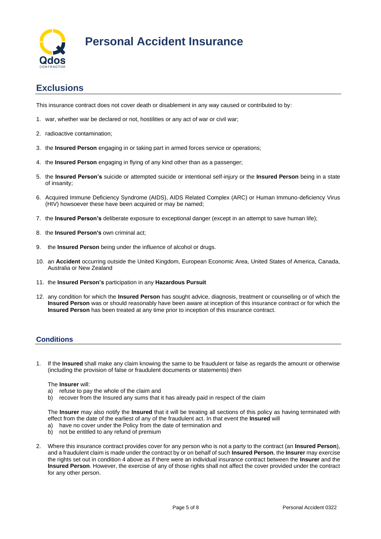

### **Exclusions**

This insurance contract does not cover death or disablement in any way caused or contributed to by:

- 1. war, whether war be declared or not, hostilities or any act of war or civil war;
- 2. radioactive contamination;
- 3. the **Insured Person** engaging in or taking part in armed forces service or operations;
- 4. the **Insured Person** engaging in flying of any kind other than as a passenger;
- 5. the **Insured Person's** suicide or attempted suicide or intentional self-injury or the **Insured Person** being in a state of insanity;
- 6. Acquired Immune Deficiency Syndrome (AIDS), AIDS Related Complex (ARC) or Human Immuno-deficiency Virus (HIV) howsoever these have been acquired or may be named;
- 7. the **Insured Person's** deliberate exposure to exceptional danger (except in an attempt to save human life);
- 8. the **Insured Person's** own criminal act;
- 9. the **Insured Person** being under the influence of alcohol or drugs.
- 10. an **Accident** occurring outside the United Kingdom, European Economic Area, United States of America, Canada, Australia or New Zealand
- 11. the **Insured Person's** participation in any **Hazardous Pursuit**
- 12. any condition for which the **Insured Person** has sought advice, diagnosis, treatment or counselling or of which the **Insured Person** was or should reasonably have been aware at inception of this insurance contract or for which the **Insured Person** has been treated at any time prior to inception of this insurance contract.

### **Conditions**

1. If the **Insured** shall make any claim knowing the same to be fraudulent or false as regards the amount or otherwise (including the provision of false or fraudulent documents or statements) then

#### The **Insurer** will:

- a) refuse to pay the whole of the claim and
- b) recover from the Insured any sums that it has already paid in respect of the claim

The **Insurer** may also notify the **Insured** that it will be treating all sections of this policy as having terminated with effect from the date of the earliest of any of the fraudulent act. In that event the **Insured** will

- a) have no cover under the Policy from the date of termination and
- b) not be entitled to any refund of premium
- 2. Where this insurance contract provides cover for any person who is not a party to the contract (an **Insured Person**), and a fraudulent claim is made under the contract by or on behalf of such **Insured Person**, the **Insurer** may exercise the rights set out in condition 4 above as if there were an individual insurance contract between the **Insurer** and the **Insured Person**. However, the exercise of any of those rights shall not affect the cover provided under the contract for any other person.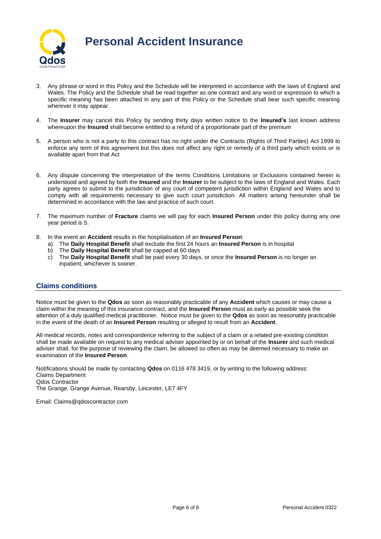

- 3. Any phrase or word in this Policy and the Schedule will be interpreted in accordance with the laws of England and Wales. The Policy and the Schedule shall be read together as one contract and any word or expression to which a specific meaning has been attached in any part of this Policy or the Schedule shall bear such specific meaning wherever it may appear.
- 4. The **Insurer** may cancel this Policy by sending thirty days written notice to the **Insured's** last known address whereupon the **Insured** shall become entitled to a refund of a proportionate part of the premium
- 5. A person who is not a party to this contract has no right under the Contracts (Rights of Third Parties) Act 1999 to enforce any term of this agreement but this does not affect any right or remedy of a third party which exists or is available apart from that Act
- 6. Any dispute concerning the interpretation of the terms Conditions Limitations or Exclusions contained herein is understood and agreed by both the **Insured** and the **Insurer** to be subject to the laws of England and Wales. Each party agrees to submit to the jurisdiction of any court of competent jurisdiction within England and Wales and to comply with all requirements necessary to give such court jurisdiction. All matters arising hereunder shall be determined in accordance with the law and practice of such court.
- 7. The maximum number of **Fracture** claims we will pay for each **Insured Person** under this policy during any one year period is 5.
- 8. In the event an **Accident** results in the hospitalisation of an **Insured Person**:
	- a) The **Daily Hospital Benefit** shall exclude the first 24 hours an **Insured Person** is in hospital
	- b) The **Daily Hospital Benefit** shall be capped at 60 days
	- c) The **Daily Hospital Benefit** shall be paid every 30 days, or once the **Insured Person** is no longer an inpatient, whichever is sooner.

### **Claims conditions**

Notice must be given to the **Qdos** as soon as reasonably practicable of any **Accident** which causes or may cause a claim within the meaning of this insurance contract, and the **Insured Person** must as early as possible seek the attention of a duly qualified medical practitioner. Notice must be given to the **Qdos** as soon as reasonably practicable in the event of the death of an **Insured Person** resulting or alleged to result from an **Accident**.

All medical records, notes and correspondence referring to the subject of a claim or a related pre-existing condition shall be made available on request to any medical adviser appointed by or on behalf of the **Insurer** and such medical adviser shall, for the purpose of reviewing the claim, be allowed so often as may be deemed necessary to make an examination of the **Insured Person**.

Notifications should be made by contacting **Qdos** on 0116 478 3419, or by writing to the following address: Claims Department Qdos Contractor The Grange, Grange Avenue, Rearsby, Leicester, LE7 4FY

Email: Claims@qdoscontractor.com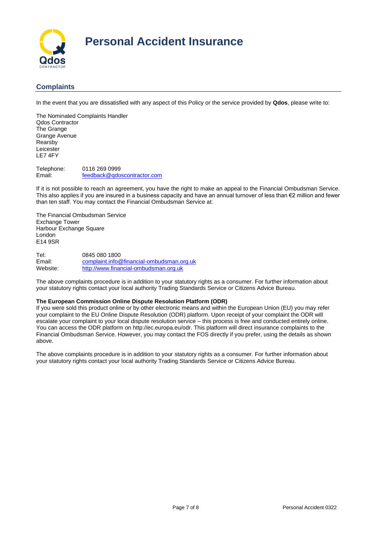

### **Complaints**

In the event that you are dissatisfied with any aspect of this Policy or the service provided by **Qdos**, please write to:

The Nominated Complaints Handler Qdos Contractor The Grange Grange Avenue Rearsby Leicester LE7 4FY

Telephone: 0116 269 0999 Email: [feedback@qdoscontractor.com](mailto:feedback@qdoscontractor.com)

If it is not possible to reach an agreement, you have the right to make an appeal to the Financial Ombudsman Service. This also applies if you are insured in a business capacity and have an annual turnover of less than €2 million and fewer than ten staff. You may contact the Financial Ombudsman Service at:

The Financial Ombudsman Service Exchange Tower Harbour Exchange Square London E14 9SR

Tel: 0845 080 1800<br>
Fmail: complaint info@ [complaint.info@financial-ombudsman.org.uk](mailto:complaint.info@financial-ombudsman.org.uk) Website: [http://www.financial-ombudsman.org.uk](http://www.financial-ombudsman.org.uk/)

The above complaints procedure is in addition to your statutory rights as a consumer. For further information about your statutory rights contact your local authority Trading Standards Service or Citizens Advice Bureau.

#### **The European Commission Online Dispute Resolution Platform (ODR)**

If you were sold this product online or by other electronic means and within the European Union (EU) you may refer your complaint to the EU Online Dispute Resolution (ODR) platform. Upon receipt of your complaint the ODR will escalate your complaint to your local dispute resolution service – this process is free and conducted entirely online. You can access the ODR platform on http://ec.europa.eu/odr. This platform will direct insurance complaints to the Financial Ombudsman Service. However, you may contact the FOS directly if you prefer, using the details as shown above.

The above complaints procedure is in addition to your statutory rights as a consumer. For further information about your statutory rights contact your local authority Trading Standards Service or Citizens Advice Bureau.